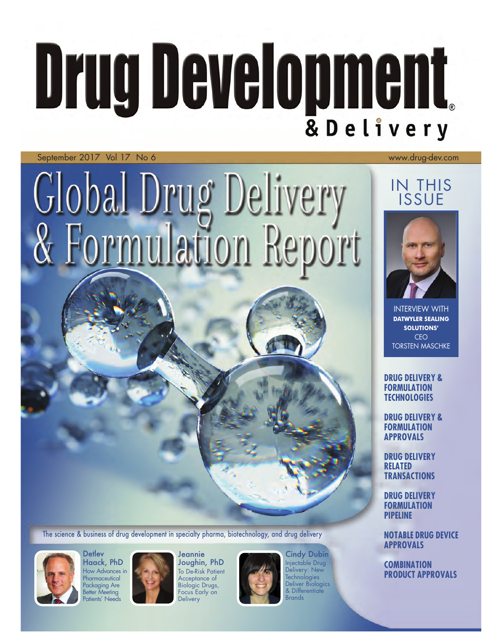## **Drug Development** & Delivery

No 6 and 1980 and 1980 and 1980 and 1980 and 1980 and 1980 and 1980 and 1980 and 1980 and 1980 and 1980 and September 2017 Vol 17 No 6 **Warehouse 2017 Vol 17 No 6** Western Western Christian Material Annual Metropology of the Western Western Western Western Western Western Western Western Western Western Western Western Western W

# Global Drug Delivery<br>& Formulation Report

The science & business of drug development in specialty pharma, biotechnology, and drug delivery



 How Advances in **Detlev** Haack, PhD **Pharmaceutical** Packaging Are Better Meeting Patients' Needs



**Jeannie** Joughin, PhD **To De-Risk Patient** Acceptance of Biologic Drugs, Focus Early on **Delivery** 



Cindy Dubin Injectable Drug Delivery: New **Technologies** Deliver Biologics & Differentiate **Brands** 

## IN THIS ISSUE



INTERVIEW WITH **DATWYLER SEALING SOLUTIONS'** CEO TORSTEN MASCHKE

 **DRUG DELIVERY & FORMULATION TECHNOLOGIES**

 **DRUG DELIVERY & FORMULATION APPROVALS**

**DRUG DELIVERY RELATED TRANSACTIONS**

**DRUG DELIVERY FORMULATION PIPELINE**

 **NOTABLE DRUG DEVICE APPROVALS**

**COMBINATION PRODUCT APPROVALS**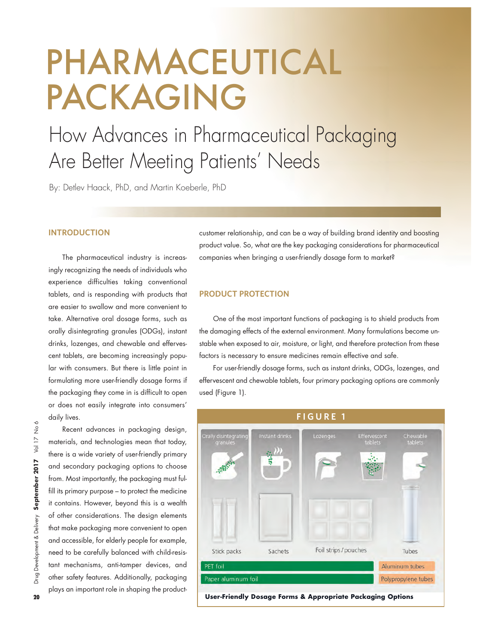## PHARMACEUTICAL PACKAGING

### How Advances in Pharmaceutical Packaging Are Better Meeting Patients' Needs

By: Detlev Haack, PhD, and Martin Koeberle, PhD

#### **INTRODUCTION**

 The pharmaceutical industry is increas- experience difficulties taking conventional tablets, and is responding with products that take. Alternative oral dosage forms, such as orally disintegrating granules (ODGs), instant lar with consumers. But there is little point in or does not easily integrate into consumers' ingly recognizing the needs of individuals who are easier to swallow and more convenient to drinks, lozenges, and chewable and effervescent tablets, are becoming increasingly popuformulating more user-friendly dosage forms if the packaging they come in is difficult to open daily lives.

 Recent advances in packaging design, materials, and technologies mean that today, and secondary packaging options to choose from. Most importantly, the packaging must ful- fill its primary purpose – to protect the medicine it contains. However, beyond this is a wealth of other considerations. The design elements and accessible, for elderly people for example, tant mechanisms, anti-tamper devices, and there is a wide variety of user-friendly primary that make packaging more convenient to open need to be carefully balanced with child-resisother safety features. Additionally, packaging plays an important role in shaping the product-

 product value. So, what are the key packaging considerations for pharmaceutical customer relationship, and can be a way of building brand identity and boosting companies when bringing a user-friendly dosage form to market?

#### **PRODUCT PROTECTION**

 stable when exposed to air, moisture, or light, and therefore protection from these One of the most important functions of packaging is to shield products from the damaging effects of the external environment. Many formulations become unfactors is necessary to ensure medicines remain effective and safe.

 effervescent and chewable tablets, four primary packaging options are commonly For userfriendly dosage forms, such as instant drinks, ODGs, lozenges, and used (Figure 1).



**20 UserFriendly Dosage Forms & Appropriate Packaging Options**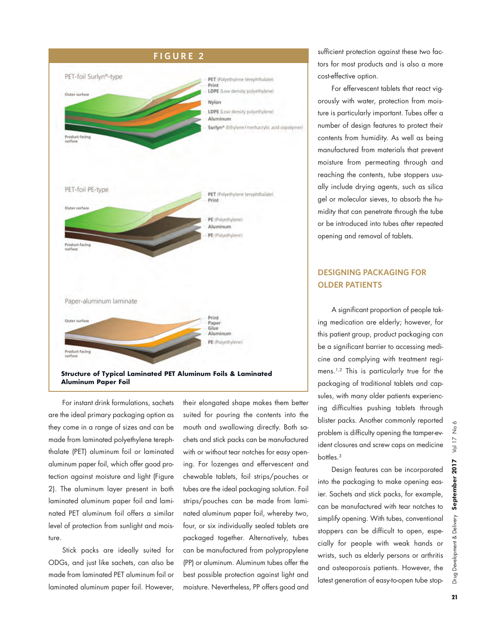

 are the ideal primary packaging option as thalate (PET) aluminum foil or laminated aluminum paper foil, which offer good pro- tection against moisture and light (Figure 2). The aluminum layer present in both laminated aluminum paper foil and lami- nated PET aluminum foil offers a similar For instant drink formulations, sachets they come in a range of sizes and can be made from laminated polyethylene terephlevel of protection from sunlight and moisture.

 Stick packs are ideally suited for ODGs, and just like sachets, can also be made from laminated PET aluminum foil or laminated aluminum paper foil. However,

 their elongated shape makes them better suited for pouring the contents into the mouth and swallowing directly. Both sa- chets and stick packs can be manufactured ing. For lozenges and effervescent and chewable tablets, foil strips/pouches or tubes are the ideal packaging solution. Foil strips/pouches can be made from lami- packaged together. Alternatively, tubes (PP) or aluminum. Aluminum tubes offer the moisture. Nevertheless, PP offers good and with or without tear notches for easy opennated aluminum paper foil, whereby two, four, or six individually sealed tablets are can be manufactured from polypropylene best possible protection against light and

**F I G U R E 2** sufficient protection against these two factors for most products and is also a more costeffective option.

> orously with water, protection from mois- contents from humidity. As well as being manufactured from materials that prevent moisture from permeating through and reaching the contents, tube stoppers usu- ally include drying agents, such as silica For effervescent tablets that react vigture is particularly important. Tubes offer a number of design features to protect their gel or molecular sieves, to absorb the humidity that can penetrate through the tube or be introduced into tubes after repeated opening and removal of tablets.

#### **DESIGNING PACKAGING FOR OLDER PATIENTS**

 A significant proportion of people tak- ing medication are elderly; however, for cine and complying with treatment regi- mens.1,2 This is particularly true for the packaging of traditional tablets and cap- ing difficulties pushing tablets through problem is difficulty opening the tamperev- ident closures and screw caps on medicine this patient group, product packaging can be a significant barrier to accessing medisules, with many older patients experiencblister packs. Another commonly reported bottles.<sup>3</sup>

 simplify opening. With tubes, conventional stoppers can be difficult to open, espe- cially for people with weak hands or and osteoporosis patients. However, the latest generation of easy-to-open tube stop-Design features can be incorporated into the packaging to make opening easier. Sachets and stick packs, for example, can be manufactured with tear notches to wrists, such as elderly persons or arthritis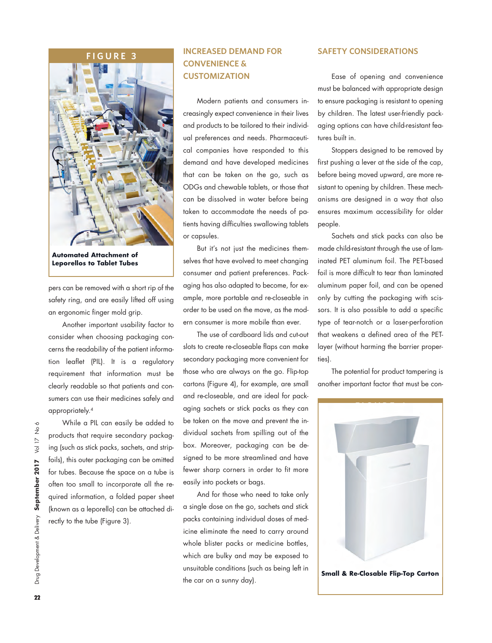#### **F I G U R E 3**



**Automated Attachment of Leporellos to Tablet Tubes**

 pers can be removed with a short rip of the safety ring, and are easily lifted off using an ergonomic finger mold grip.

 Another important usability factor to consider when choosing packaging con- cerns the readability of the patient informa- tion leaflet (PIL). It is a regulatory requirement that information must be clearly readable so that patients and consumers can use their medicines safely and appropriately.4

 While a PIL can easily be added to products that require secondary packag- ing (such as stick packs, sachets, and strip- often too small to incorporate all the re- quired information, a folded paper sheet foils), this outer packaging can be omitted for tubes. Because the space on a tube is (known as a leporello) can be attached directly to the tube (Figure 3).

## **CONVENIENCE &**

Modern patients and consumers increasingly expect convenience in their lives and products to be tailored to their individual preferences and needs. Pharmaceuti- tures built in. cal companies have responded to this Stoppers designed to be removed by demand and have developed medicines that can be taken on the go, such as can be dissolved in water before being taken to accommodate the needs of pa- creasingly expect convenience in their lives by children. The latest userfriendly pack- ODGs and chewable tablets, or those that sistant to opening by children. These mech- can be dissolved in water before being anisms are designed in a way that also taken to accommodate the needs of pa- ensures maximum accessibility for older tients having difficulties swallowing tablets people.

But it's not just the medicines themselves that have evolved to meet changing

secondary packaging more convenient for ties). aging sachets or stick packs as they can dividual sachets from spilling out of the box. Moreover, packaging can be de- signed to be more streamlined and have fewer sharp corners in order to fit more slots to create recloseable flaps can make layer (without harming the barrier properthose who are always on the go. Fliptop The potential for product tampering is cartons (Figure 4), for example, are small another important factor that must be conand recloseable, and are ideal for packbe taken on the move and prevent the ineasily into pockets or bags.

 icine eliminate the need to carry around whole blister packs or medicine bottles, which are bulky and may be exposed to And for those who need to take only a single dose on the go, sachets and stick packs containing individual doses of medunsuitable conditions (such as being left in

#### **INCREASED DEMAND FOR SAFETY CONSIDERATIONS**

 **CUSTOMIZATION** Ease of opening and convenience must be balanced with appropriate design Modern patients and consumers in- to ensure packaging is resistant to opening aging options can have child-resistant fea-

> first pushing a lever at the side of the cap, before being moved upward, are more re-

consumer and patient preferences. Pack- foil is more difficult to tear than laminated aging has also adapted to become, for ex- aluminum paper foil, and can be opened or capsules. Sachets and stick packs can also be But it's not just the medicines them-  $\,$  made child-resistant through the use of laminated PET aluminum foil. The PET-based ample, more portable and recloseable in only by cutting the packaging with scisorder to be used on the move, as the mod- sors. It is also possible to add a specific ern consumer is more mobile than ever. type of tearnotch or a laserperforation The use of cardboard lids and cut-out that weakens a defined area of the PET-

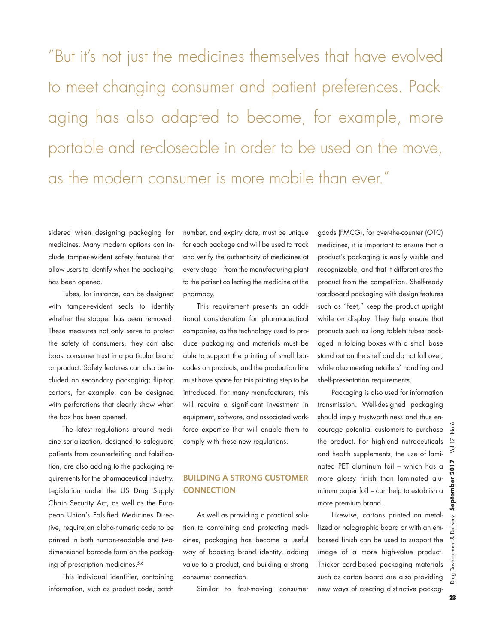aging has also adapted to become, for example, more "But it's not just the medicines themselves that have evolved to meet changing consumer and patient preferences. Packportable and recloseable in order to be used on the move, as the modern consumer is more mobile than ever."

 sidered when designing packaging for medicines. Many modern options can in- clude tamperevident safety features that allow users to identify when the packaging has been opened.

 with tamperevident seals to identify whether the stopper has been removed. These measures not only serve to protect the safety of consumers, they can also cluded on secondary packaging; fliptop cartons, for example, can be designed with perforations that clearly show when Tubes, for instance, can be designed boost consumer trust in a particular brand or product. Safety features can also be inthe box has been opened.

 The latest regulations around medi- cine serialization, designed to safeguard patients from counterfeiting and falsifica- quirements for the pharmaceutical industry. Legislation under the US Drug Supply Chain Security Act, as well as the Euro- pean Union's Falsified Medicines Direction, are also adding to the packaging retive, require an alpha-numeric code to be printed in both human-readable and twodimensional barcode form on the packaging of prescription medicines.<sup>5,6</sup>

 This individual identifier, containing information, such as product code, batch

 for each package and will be used to track every stage – from the manufacturing plant to the patient collecting the medicine at the number, and expiry date, must be unique and verify the authenticity of medicines at pharmacy.

 This requirement presents an addi- tional consideration for pharmaceutical duce packaging and materials must be able to support the printing of small bar- codes on products, and the production line must have space for this printing step to be introduced. For many manufacturers, this will require a significant investment in equipment, software, and associated work- force expertise that will enable them to companies, as the technology used to procomply with these new regulations.

#### **BUILDING A STRONG CUSTOMER CONNECTION**

 tion to containing and protecting medi- cines, packaging has become a useful way of boosting brand identity, adding As well as providing a practical soluvalue to a product, and building a strong consumer connection.

Similar to fastmoving consumer

 product's packaging is easily visible and cardboard packaging with design features such as "feet," keep the product upright while on display. They help ensure that aged in folding boxes with a small base goods (FMCG), for over-the-counter (OTC) medicines, it is important to ensure that a recognizable, and that it differentiates the product from the competition. Shelf-ready products such as long tablets tubes packstand out on the shelf and do not fall over, while also meeting retailers' handling and shelf-presentation requirements.

 Packaging is also used for information should imply trustworthiness and thus en- courage potential customers to purchase the product. For highend nutraceuticals and health supplements, the use of lami- nated PET aluminum foil – which has a more glossy finish than laminated alutransmission. Well-designed packaging minum paper foil – can help to establish a more premium brand.

 Likewise, cartons printed on metal- bossed finish can be used to support the image of a more high-value product. Thicker card-based packaging materials such as carton board are also providing new ways of creating distinctive packaglized or holographic board or with an em-